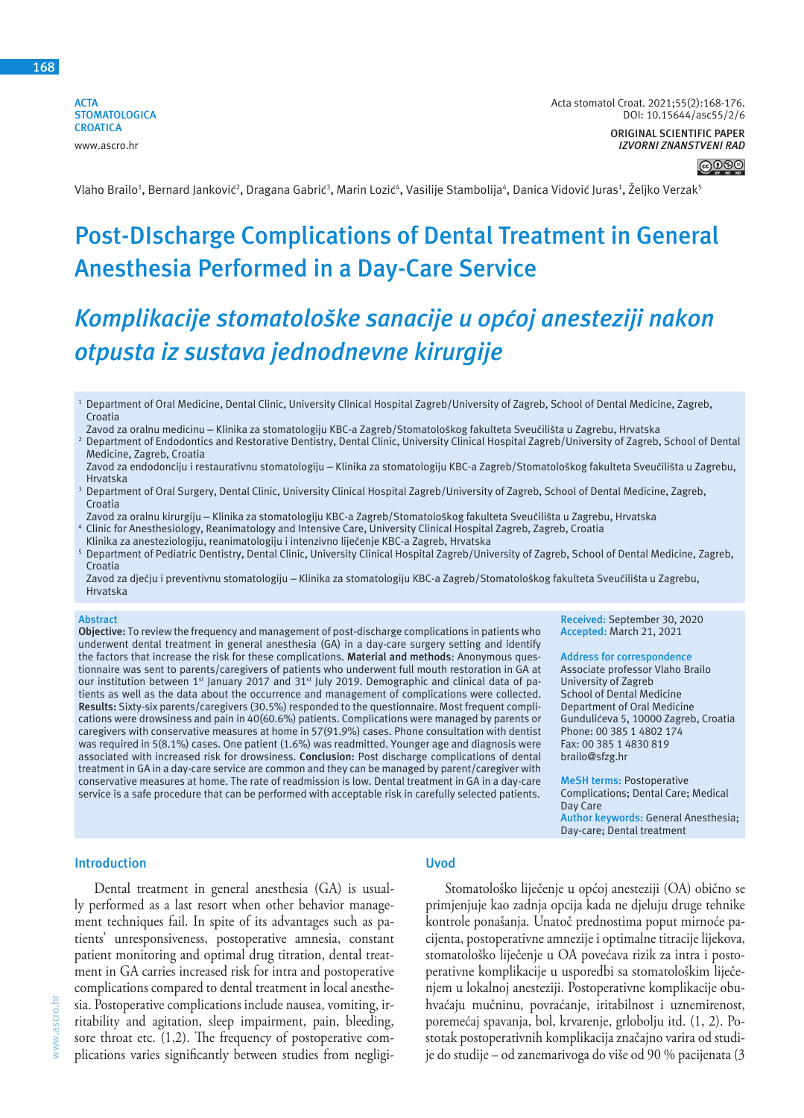**ACTA STOMATOLOGICA CROATICA** www.ascro.hr

#### **ORIGINAL SCIENTIFIC PAPER** *IZVORNI ZNANSTVENI RAD*



Vlaho Brailo<sup>1</sup>, Bernard Janković<sup>2</sup>, Dragana Gabrić<sup>3</sup>, Marin Lozić<sup>4</sup>, Vasilije Stambolija<sup>4</sup>, Danica Vidović Juras<sup>1</sup>, Željko Verzak<sup>s</sup>

# **Post-DIscharge Complications of Dental Treatment in General Anesthesia Performed in a Day-Care Service**

# *Komplikacije stomatološke sanacije u općoj anesteziji nakon otpusta iz sustava jednodnevne kirurgije*

- <sup>1</sup> Department of Oral Medicine, Dental Clinic, University Clinical Hospital Zagreb/University of Zagreb, School of Dental Medicine, Zagreb, Croatia
- Zavod za oralnu medicinu Klinika za stomatologiju KBC-a Zagreb/Stomatološkog fakulteta Sveučilišta u Zagrebu, Hrvatska
- <sup>2</sup> Department of Endodontics and Restorative Dentistry, Dental Clinic, University Clinical Hospital Zagreb/University of Zagreb, School of Dental Medicine, Zagreb, Croatia
- Zavod za endodonciju i restaurativnu stomatologiju Klinika za stomatologiju KBC-a Zagreb/Stomatološkog fakulteta Sveučilišta u Zagrebu, Hrvatska
- <sup>3</sup> Department of Oral Surgery, Dental Clinic, University Clinical Hospital Zagreb/University of Zagreb, School of Dental Medicine, Zagreb, Croatia
- Zavod za oralnu kirurgiju Klinika za stomatologiju KBC-a Zagreb/Stomatološkog fakulteta Sveučilišta u Zagrebu, Hrvatska <sup>4</sup> Clinic for Anesthesiology, Reanimatology and Intensive Care, University Clinical Hospital Zagreb, Zagreb, Croatia
- Klinika za anesteziologiju, reanimatologiju i intenzivno liječenje KBC-a Zagreb, Hrvatska
- <sup>5</sup> Department of Pediatric Dentistry, Dental Clinic, University Clinical Hospital Zagreb/University of Zagreb, School of Dental Medicine, Zagreb, Croatia
- Zavod za dječju i preventivnu stomatologiju Klinika za stomatologiju KBC-a Zagreb/Stomatološkog fakulteta Sveučilišta u Zagrebu, Hrvatska

#### **Abstract**

**Objective:** To review the frequency and management of post-discharge complications in patients who underwent dental treatment in general anesthesia (GA) in a day-care surgery setting and identify the factors that increase the risk for these complications. **Material and methods**: Anonymous questionnaire was sent to parents/caregivers of patients who underwent full mouth restoration in GA at our institution between 1<sup>st</sup> January 2017 and 31<sup>st</sup> July 2019. Demographic and clinical data of patients as well as the data about the occurrence and management of complications were collected. **Results:** Sixty-six parents/caregivers (30.5%) responded to the questionnaire. Most frequent complications were drowsiness and pain in 40(60.6%) patients. Complications were managed by parents or caregivers with conservative measures at home in 57(91.9%) cases. Phone consultation with dentist was required in 5(8.1%) cases. One patient (1.6%) was readmitted. Younger age and diagnosis were associated with increased risk for drowsiness. **Conclusion:** Post discharge complications of dental treatment in GA in a day-care service are common and they can be managed by parent/caregiver with conservative measures at home. The rate of readmission is low. Dental treatment in GA in a day-care service is a safe procedure that can be performed with acceptable risk in carefully selected patients.

**Received:** September 30, 2020 **Accepted:** March 21, 2021

**Address for correspondence** Associate professor Vlaho Brailo University of Zagreb School of Dental Medicine Department of Oral Medicine Gundulićeva 5, 10000 Zagreb, Croatia Phone: 00 385 1 4802 174 Fax: 00 385 1 4830 819 brailo@sfzg.hr

**MeSH terms:** Postoperative Complications; Dental Care; Medical Day Care **Author keywords:** General Anesthesia; Day-care; Dental treatment

#### **Introduction**

ascro.hr www.ascro.hr

Dental treatment in general anesthesia (GA) is usually performed as a last resort when other behavior management techniques fail. In spite of its advantages such as patients' unresponsiveness, postoperative amnesia, constant patient monitoring and optimal drug titration, dental treatment in GA carries increased risk for intra and postoperative complications compared to dental treatment in local anesthesia. Postoperative complications include nausea, vomiting, irritability and agitation, sleep impairment, pain, bleeding, sore throat etc. (1,2). The frequency of postoperative complications varies significantly between studies from negligi-

## **Uvod**

Stomatološko liječenje u općoj anesteziji (OA) obično se primjenjuje kao zadnja opcija kada ne djeluju druge tehnike kontrole ponašanja. Unatoč prednostima poput mirnoće pacijenta, postoperativne amnezije i optimalne titracije lijekova, stomatološko liječenje u OA povećava rizik za intra i postoperativne komplikacije u usporedbi sa stomatološkim liječenjem u lokalnoj anesteziji. Postoperativne komplikacije obuhvaćaju mučninu, povraćanje, iritabilnost i uznemirenost, poremećaj spavanja, bol, krvarenje, grlobolju itd. (1, 2). Postotak postoperativnih komplikacija značajno varira od studije do studije – od zanemarivoga do više od 90 % pacijenata (3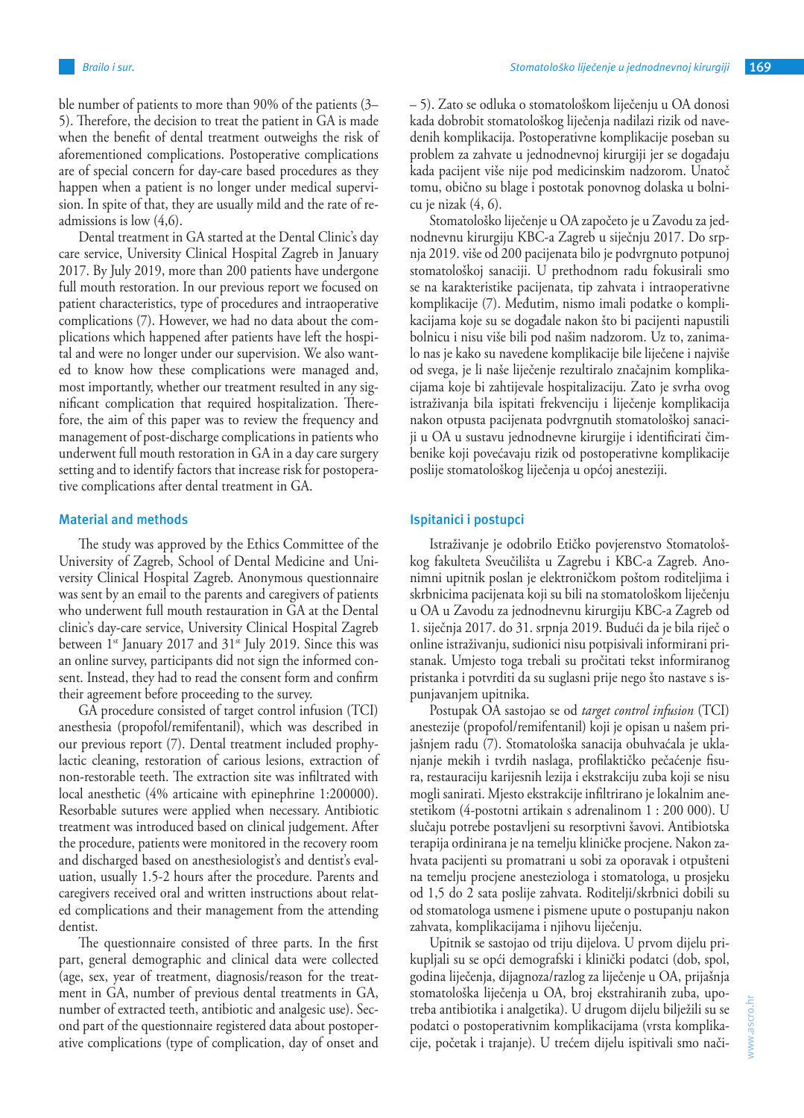ble number of patients to more than 90% of the patients (3– 5). Therefore, the decision to treat the patient in GA is made when the benefit of dental treatment outweighs the risk of aforementioned complications. Postoperative complications are of special concern for day-care based procedures as they happen when a patient is no longer under medical supervision. In spite of that, they are usually mild and the rate of readmissions is low (4,6).

Dental treatment in GA started at the Dental Clinic's day care service, University Clinical Hospital Zagreb in January 2017. By July 2019, more than 200 patients have undergone full mouth restoration. In our previous report we focused on patient characteristics, type of procedures and intraoperative complications (7). However, we had no data about the complications which happened after patients have left the hospital and were no longer under our supervision. We also wanted to know how these complications were managed and, most importantly, whether our treatment resulted in any significant complication that required hospitalization. Therefore, the aim of this paper was to review the frequency and management of post-discharge complications in patients who underwent full mouth restoration in GA in a day care surgery setting and to identify factors that increase risk for postoperative complications after dental treatment in GA.

### **Material and methods**

The study was approved by the Ethics Committee of the University of Zagreb, School of Dental Medicine and University Clinical Hospital Zagreb. Anonymous questionnaire was sent by an email to the parents and caregivers of patients who underwent full mouth restauration in GA at the Dental clinic's day-care service, University Clinical Hospital Zagreb between  $1^{st}$  January 2017 and  $31^{st}$  July 2019. Since this was an online survey, participants did not sign the informed consent. Instead, they had to read the consent form and confirm their agreement before proceeding to the survey.

GA procedure consisted of target control infusion (TCI) anesthesia (propofol/remifentanil), which was described in our previous report (7). Dental treatment included prophylactic cleaning, restoration of carious lesions, extraction of non-restorable teeth. The extraction site was infiltrated with local anesthetic (4% articaine with epinephrine 1:200000). Resorbable sutures were applied when necessary. Antibiotic treatment was introduced based on clinical judgement. After the procedure, patients were monitored in the recovery room and discharged based on anesthesiologist's and dentist's evaluation, usually 1.5-2 hours after the procedure. Parents and caregivers received oral and written instructions about related complications and their management from the attending dentist.

The questionnaire consisted of three parts. In the first part, general demographic and clinical data were collected (age, sex, year of treatment, diagnosis/reason for the treatment in GA, number of previous dental treatments in GA, number of extracted teeth, antibiotic and analgesic use). Second part of the questionnaire registered data about postoperative complications (type of complication, day of onset and – 5). Zato se odluka o stomatološkom liječenju u OA donosi kada dobrobit stomatološkog liječenja nadilazi rizik od navedenih komplikacija. Postoperativne komplikacije poseban su problem za zahvate u jednodnevnoj kirurgiji jer se događaju kada pacijent više nije pod medicinskim nadzorom. Unatoč tomu, obično su blage i postotak ponovnog dolaska u bolnicu je nizak (4, 6).

Stomatološko liječenje u OA započeto je u Zavodu za jednodnevnu kirurgiju KBC-a Zagreb u siječnju 2017. Do srpnja 2019. više od 200 pacijenata bilo je podvrgnuto potpunoj stomatološkoj sanaciji. U prethodnom radu fokusirali smo se na karakteristike pacijenata, tip zahvata i intraoperativne komplikacije (7). Međutim, nismo imali podatke o komplikacijama koje su se događale nakon što bi pacijenti napustili bolnicu i nisu više bili pod našim nadzorom. Uz to, zanimalo nas je kako su navedene komplikacije bile liječene i najviše od svega, je li naše liječenje rezultiralo značajnim komplikacijama koje bi zahtijevale hospitalizaciju. Zato je svrha ovog istraživanja bila ispitati frekvenciju i liječenje komplikacija nakon otpusta pacijenata podvrgnutih stomatološkoj sanaciji u OA u sustavu jednodnevne kirurgije i identificirati čimbenike koji povećavaju rizik od postoperativne komplikacije poslije stomatološkog liječenja u općoj anesteziji.

#### **Ispitanici i postupci**

Istraživanje je odobrilo Etičko povjerenstvo Stomatološkog fakulteta Sveučilišta u Zagrebu i KBC-a Zagreb. Anonimni upitnik poslan je elektroničkom poštom roditeljima i skrbnicima pacijenata koji su bili na stomatološkom liječenju u OA u Zavodu za jednodnevnu kirurgiju KBC-a Zagreb od 1. siječnja 2017. do 31. srpnja 2019. Budući da je bila riječ o online istraživanju, sudionici nisu potpisivali informirani pristanak. Umjesto toga trebali su pročitati tekst informiranog pristanka i potvrditi da su suglasni prije nego što nastave s ispunjavanjem upitnika.

Postupak OA sastojao se od *target control infusion* (TCI) anestezije (propofol/remifentanil) koji je opisan u našem prijašnjem radu (7). Stomatološka sanacija obuhvaćala je uklanjanje mekih i tvrdih naslaga, profilaktičko pečaćenje fisura, restauraciju karijesnih lezija i ekstrakciju zuba koji se nisu mogli sanirati. Mjesto ekstrakcije infiltrirano je lokalnim anestetikom (4-postotni artikain s adrenalinom 1 : 200 000). U slučaju potrebe postavljeni su resorptivni šavovi. Antibiotska terapija ordinirana je na temelju kliničke procjene. Nakon zahvata pacijenti su promatrani u sobi za oporavak i otpušteni na temelju procjene anesteziologa i stomatologa, u prosjeku od 1,5 do 2 sata poslije zahvata. Roditelji/skrbnici dobili su od stomatologa usmene i pismene upute o postupanju nakon zahvata, komplikacijama i njihovu liječenju.

Upitnik se sastojao od triju dijelova. U prvom dijelu prikupljali su se opći demografski i klinički podatci (dob, spol, godina liječenja, dijagnoza/razlog za liječenje u OA, prijašnja stomatološka liječenja u OA, broj ekstrahiranih zuba, upotreba antibiotika i analgetika). U drugom dijelu bilježili su se podatci o postoperativnim komplikacijama (vrsta komplikacije, početak i trajanje). U trećem dijelu ispitivali smo nači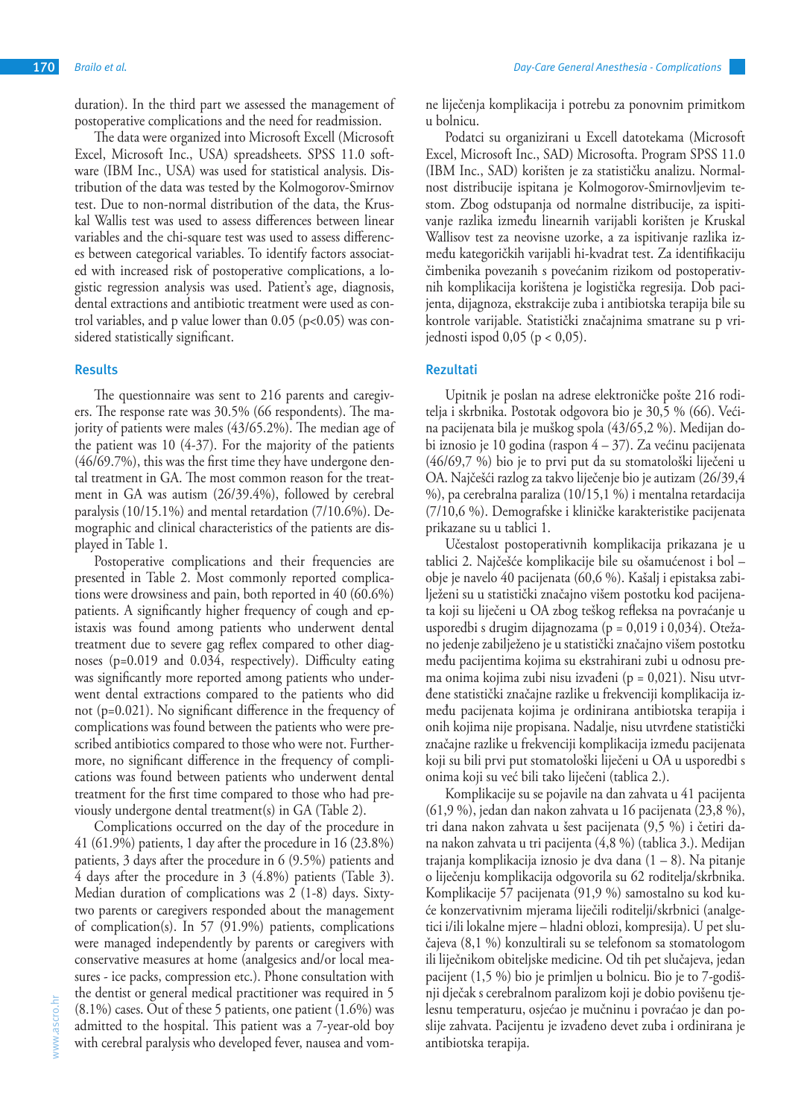duration). In the third part we assessed the management of postoperative complications and the need for readmission.

The data were organized into Microsoft Excell (Microsoft Excel, Microsoft Inc., USA) spreadsheets. SPSS 11.0 software (IBM Inc., USA) was used for statistical analysis. Distribution of the data was tested by the Kolmogorov-Smirnov test. Due to non-normal distribution of the data, the Kruskal Wallis test was used to assess differences between linear variables and the chi-square test was used to assess differences between categorical variables. To identify factors associated with increased risk of postoperative complications, a logistic regression analysis was used. Patient's age, diagnosis, dental extractions and antibiotic treatment were used as control variables, and p value lower than  $0.05$  (p<0.05) was considered statistically significant.

#### **Results**

The questionnaire was sent to 216 parents and caregivers. The response rate was 30.5% (66 respondents). The majority of patients were males (43/65.2%). The median age of the patient was 10 (4-37). For the majority of the patients (46/69.7%), this was the first time they have undergone dental treatment in GA. The most common reason for the treatment in GA was autism (26/39.4%), followed by cerebral paralysis (10/15.1%) and mental retardation (7/10.6%). Demographic and clinical characteristics of the patients are displayed in Table 1.

Postoperative complications and their frequencies are presented in Table 2. Most commonly reported complications were drowsiness and pain, both reported in 40 (60.6%) patients. A significantly higher frequency of cough and epistaxis was found among patients who underwent dental treatment due to severe gag reflex compared to other diagnoses (p=0.019 and 0.034, respectively). Difficulty eating was significantly more reported among patients who underwent dental extractions compared to the patients who did not (p=0.021). No significant difference in the frequency of complications was found between the patients who were prescribed antibiotics compared to those who were not. Furthermore, no significant difference in the frequency of complications was found between patients who underwent dental treatment for the first time compared to those who had previously undergone dental treatment(s) in GA (Table 2).

Complications occurred on the day of the procedure in 41 (61.9%) patients, 1 day after the procedure in 16 (23.8%) patients, 3 days after the procedure in 6 (9.5%) patients and 4 days after the procedure in 3 (4.8%) patients (Table 3). Median duration of complications was 2 (1-8) days. Sixtytwo parents or caregivers responded about the management of complication(s). In 57 (91.9%) patients, complications were managed independently by parents or caregivers with conservative measures at home (analgesics and/or local measures - ice packs, compression etc.). Phone consultation with the dentist or general medical practitioner was required in 5 (8.1%) cases. Out of these 5 patients, one patient (1.6%) was admitted to the hospital. This patient was a 7-year-old boy with cerebral paralysis who developed fever, nausea and vomne liječenja komplikacija i potrebu za ponovnim primitkom u bolnicu.

Podatci su organizirani u Excell datotekama (Microsoft Excel, Microsoft Inc., SAD) Microsofta. Program SPSS 11.0 (IBM Inc., SAD) korišten je za statističku analizu. Normalnost distribucije ispitana je Kolmogorov-Smirnovljevim testom. Zbog odstupanja od normalne distribucije, za ispitivanje razlika između linearnih varijabli korišten je Kruskal Wallisov test za neovisne uzorke, a za ispitivanje razlika između kategoričkih varijabli hi-kvadrat test. Za identifikaciju čimbenika povezanih s povećanim rizikom od postoperativnih komplikacija korištena je logistička regresija. Dob pacijenta, dijagnoza, ekstrakcije zuba i antibiotska terapija bile su kontrole varijable. Statistički značajnima smatrane su p vrijednosti ispod  $0,05$  ( $p < 0,05$ ).

#### **Rezultati**

Upitnik je poslan na adrese elektroničke pošte 216 roditelja i skrbnika. Postotak odgovora bio je 30,5 % (66). Većina pacijenata bila je muškog spola (43/65,2 %). Medijan dobi iznosio je 10 godina (raspon 4 – 37). Za većinu pacijenata (46/69,7 %) bio je to prvi put da su stomatološki liječeni u OA. Najčešći razlog za takvo liječenje bio je autizam (26/39,4 %), pa cerebralna paraliza (10/15,1 %) i mentalna retardacija (7/10,6 %). Demografske i kliničke karakteristike pacijenata prikazane su u tablici 1.

Učestalost postoperativnih komplikacija prikazana je u tablici 2. Najčešće komplikacije bile su ošamućenost i bol – obje je navelo 40 pacijenata (60,6 %). Kašalj i epistaksa zabilježeni su u statistički značajno višem postotku kod pacijenata koji su liječeni u OA zbog teškog refleksa na povraćanje u usporedbi s drugim dijagnozama (p = 0,019 i 0,034). Otežano jedenje zabilježeno je u statistički značajno višem postotku među pacijentima kojima su ekstrahirani zubi u odnosu prema onima kojima zubi nisu izvađeni (p = 0,021). Nisu utvrđene statistički značajne razlike u frekvenciji komplikacija između pacijenata kojima je ordinirana antibiotska terapija i onih kojima nije propisana. Nadalje, nisu utvrđene statistički značajne razlike u frekvenciji komplikacija između pacijenata koji su bili prvi put stomatološki liječeni u OA u usporedbi s onima koji su već bili tako liječeni (tablica 2.).

Komplikacije su se pojavile na dan zahvata u 41 pacijenta (61,9 %), jedan dan nakon zahvata u 16 pacijenata (23,8 %), tri dana nakon zahvata u šest pacijenata (9,5 %) i četiri dana nakon zahvata u tri pacijenta (4,8 %) (tablica 3.). Medijan trajanja komplikacija iznosio je dva dana (1 – 8). Na pitanje o liječenju komplikacija odgovorila su 62 roditelja/skrbnika. Komplikacije 57 pacijenata (91,9 %) samostalno su kod kuće konzervativnim mjerama liječili roditelji/skrbnici (analgetici i/ili lokalne mjere – hladni oblozi, kompresija). U pet slučajeva (8,1 %) konzultirali su se telefonom sa stomatologom ili liječnikom obiteljske medicine. Od tih pet slučajeva, jedan pacijent (1,5 %) bio je primljen u bolnicu. Bio je to 7-godišnji dječak s cerebralnom paralizom koji je dobio povišenu tjelesnu temperaturu, osjećao je mučninu i povraćao je dan poslije zahvata. Pacijentu je izvađeno devet zuba i ordinirana je antibiotska terapija.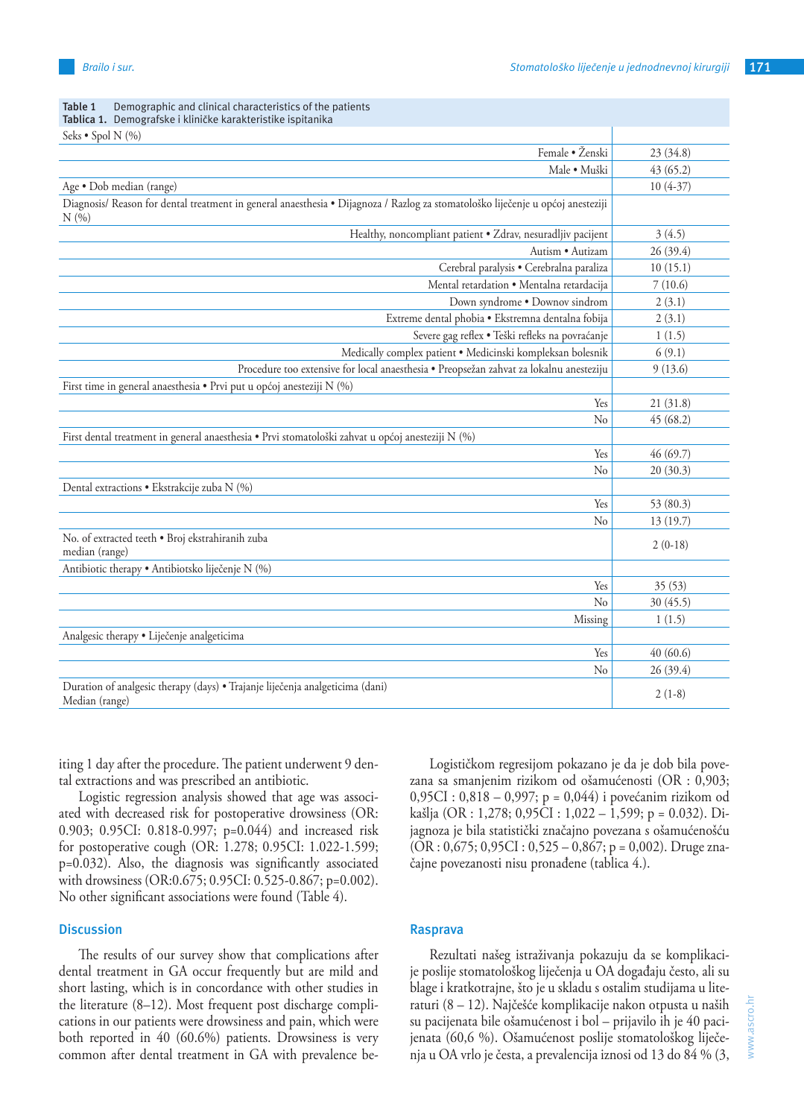| Tablica 1. Demografske i kliničke karakteristike ispitanika                                                                            |            |
|----------------------------------------------------------------------------------------------------------------------------------------|------------|
| Seks • Spol N (%)                                                                                                                      |            |
| Female · Ženski                                                                                                                        | 23 (34.8)  |
| Male · Muški                                                                                                                           | 43(65.2)   |
| Age · Dob median (range)                                                                                                               | $10(4-37)$ |
| Diagnosis/ Reason for dental treatment in general anaesthesia · Dijagnoza / Razlog za stomatološko liječenje u općoj anesteziji<br>N(% |            |
| Healthy, noncompliant patient . Zdrav, nesuradljiv pacijent                                                                            | 3(4.5)     |
| Autism · Autizam                                                                                                                       | 26 (39.4)  |
| Cerebral paralysis · Cerebralna paraliza                                                                                               | 10(15.1)   |
| Mental retardation · Mentalna retardacija                                                                                              | 7(10.6)    |
| Down syndrome . Downov sindrom                                                                                                         | 2(3.1)     |
| Extreme dental phobia · Ekstremna dentalna fobija                                                                                      | 2(3.1)     |
| Severe gag reflex · Teški refleks na povraćanje                                                                                        | 1(1.5)     |
| Medically complex patient . Medicinski kompleksan bolesnik                                                                             | 6(9.1)     |
| Procedure too extensive for local anaesthesia · Preopsežan zahvat za lokalnu anesteziju                                                | 9(13.6)    |
| First time in general anaesthesia · Prvi put u općoj anesteziji N (%)                                                                  |            |
| Yes                                                                                                                                    | 21(31.8)   |
| No                                                                                                                                     | 45 (68.2)  |
| First dental treatment in general anaesthesia · Prvi stomatološki zahvat u općoj anesteziji N (%)                                      |            |
| Yes                                                                                                                                    | 46 (69.7)  |
| N <sub>0</sub>                                                                                                                         | 20(30.3)   |
| Dental extractions · Ekstrakcije zuba N (%)                                                                                            |            |
| Yes                                                                                                                                    | 53 (80.3)  |
| No                                                                                                                                     | 13(19.7)   |
| No. of extracted teeth . Broj ekstrahiranih zuba<br>median (range)                                                                     | $2(0-18)$  |
| Antibiotic therapy · Antibiotsko liječenje N (%)                                                                                       |            |
| Yes                                                                                                                                    | 35 (53)    |
| No                                                                                                                                     | 30 (45.5)  |
| Missing                                                                                                                                | 1(1.5)     |
| Analgesic therapy • Liječenje analgeticima                                                                                             |            |
| Yes                                                                                                                                    | 40(60.6)   |
| No                                                                                                                                     | 26(39.4)   |
| Duration of analgesic therapy (days) • Trajanje liječenja analgeticima (dani)<br>Median (range)                                        | $2(1-8)$   |

# **Table 1** Demographic and clinical characteristics of the patients

iting 1 day after the procedure. The patient underwent 9 dental extractions and was prescribed an antibiotic.

Logistic regression analysis showed that age was associated with decreased risk for postoperative drowsiness (OR: 0.903; 0.95CI: 0.818-0.997; p=0.044) and increased risk for postoperative cough (OR: 1.278; 0.95CI: 1.022-1.599; p=0.032). Also, the diagnosis was significantly associated with drowsiness (OR:0.675; 0.95CI: 0.525-0.867; p=0.002). No other significant associations were found (Table 4).

#### **Discussion**

The results of our survey show that complications after dental treatment in GA occur frequently but are mild and short lasting, which is in concordance with other studies in the literature (8–12). Most frequent post discharge complications in our patients were drowsiness and pain, which were both reported in 40 (60.6%) patients. Drowsiness is very common after dental treatment in GA with prevalence be-

Logističkom regresijom pokazano je da je dob bila povezana sa smanjenim rizikom od ošamućenosti (OR : 0,903; 0,95CI : 0,818 – 0,997; p = 0,044) i povećanim rizikom od kašlja (OR : 1,278; 0,95CI : 1,022 – 1,599; p = 0.032). Dijagnoza je bila statistički značajno povezana s ošamućenošću  $(OR: 0.675; 0.95CI: 0.525 - 0.867; p = 0.002)$ . Druge značajne povezanosti nisu pronađene (tablica 4.).

#### **Rasprava**

Rezultati našeg istraživanja pokazuju da se komplikacije poslije stomatološkog liječenja u OA događaju često, ali su blage i kratkotrajne, što je u skladu s ostalim studijama u literaturi (8 – 12). Najčešće komplikacije nakon otpusta u naših su pacijenata bile ošamućenost i bol – prijavilo ih je 40 pacijenata (60,6 %). Ošamućenost poslije stomatološkog liječenja u OA vrlo je česta, a prevalencija iznosi od 13 do 84 % (3,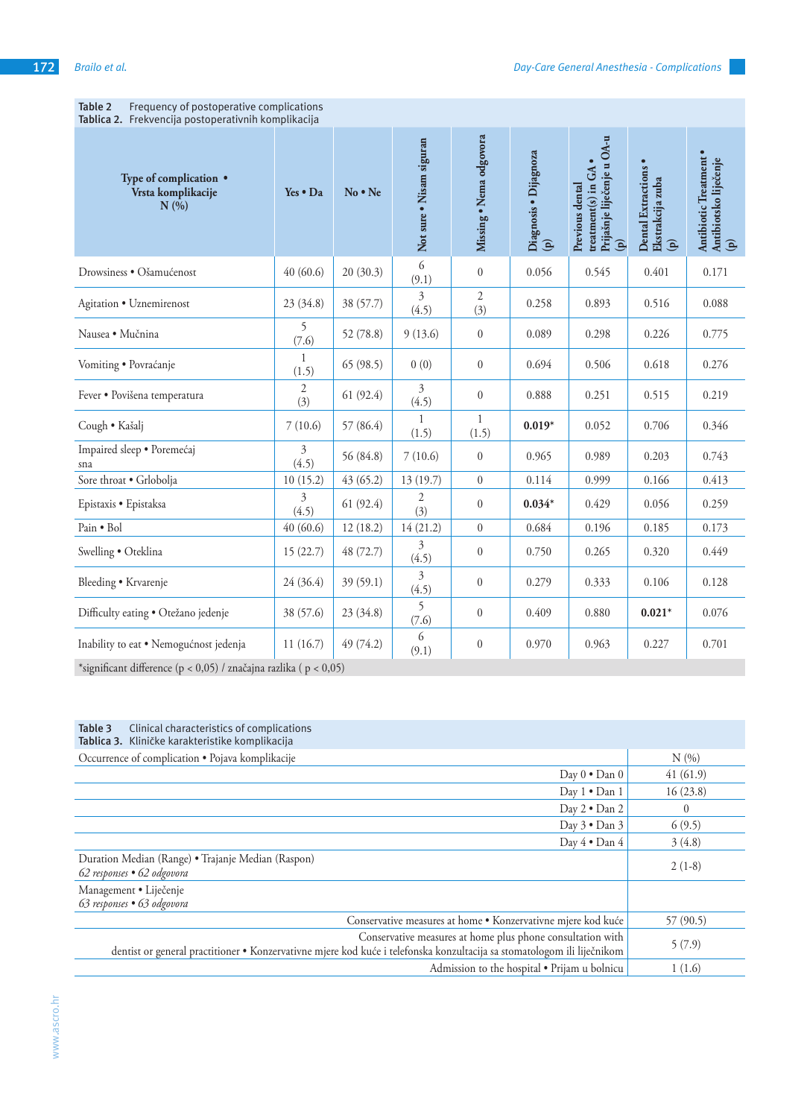| Tablica 2. Frekvencija postoperativnih komplikacija                                                                                                                                                                                                                                                                                    |                       |               |                          |                         |                                                 |                                                                                                 |                                                                         |                                                     |
|----------------------------------------------------------------------------------------------------------------------------------------------------------------------------------------------------------------------------------------------------------------------------------------------------------------------------------------|-----------------------|---------------|--------------------------|-------------------------|-------------------------------------------------|-------------------------------------------------------------------------------------------------|-------------------------------------------------------------------------|-----------------------------------------------------|
| Type of complication •<br>Vrsta komplikacije<br>N(%                                                                                                                                                                                                                                                                                    | Yes • Da              | $No \cdot Ne$ | Not sure . Nisam siguran | Missing . Nema odgovora | Diagnosis . Dijagnoza<br>$\widehat{\mathbf{e}}$ | Prijašnje liječenje u OA-u<br>treatment(s) in GA •<br>Previous dental<br>$\mathbf{\widehat{e}}$ | <b>Dental Extractions</b><br>Ekstrakcija zuba<br>$\widehat{\mathbf{e}}$ | Antibiotic Treatment ·<br>Antibiotsko liječenje (p) |
| Drowsiness · Ošamućenost                                                                                                                                                                                                                                                                                                               | 40(60.6)              | 20(30.3)      | 6<br>(9.1)               | $\boldsymbol{0}$        | 0.056                                           | 0.545                                                                                           | 0.401                                                                   | 0.171                                               |
| Agitation • Uznemirenost                                                                                                                                                                                                                                                                                                               | 23(34.8)              | 38 (57.7)     | 3<br>(4.5)               | $\overline{2}$<br>(3)   | 0.258                                           | 0.893                                                                                           | 0.516                                                                   | 0.088                                               |
| Nausea · Mučnina                                                                                                                                                                                                                                                                                                                       | 5<br>(7.6)            | 52 (78.8)     | 9(13.6)                  | $\boldsymbol{0}$        | 0.089                                           | 0.298                                                                                           | 0.226                                                                   | 0.775                                               |
| Vomiting · Povraćanje                                                                                                                                                                                                                                                                                                                  | 1<br>(1.5)            | 65(98.5)      | 0(0)                     | $\boldsymbol{0}$        | 0.694                                           | 0.506                                                                                           | 0.618                                                                   | 0.276                                               |
| Fever · Povišena temperatura                                                                                                                                                                                                                                                                                                           | $\mathfrak{2}$<br>(3) | 61(92.4)      | 3<br>(4.5)               | $\boldsymbol{0}$        | 0.888                                           | 0.251                                                                                           | 0.515                                                                   | 0.219                                               |
| Cough · Kašalj                                                                                                                                                                                                                                                                                                                         | 7(10.6)               | 57 (86.4)     | 1<br>(1.5)               | 1<br>(1.5)              | $0.019*$                                        | 0.052                                                                                           | 0.706                                                                   | 0.346                                               |
| Impaired sleep · Poremećaj<br>sna                                                                                                                                                                                                                                                                                                      | 3<br>(4.5)            | 56 (84.8)     | 7(10.6)                  | $\boldsymbol{0}$        | 0.965                                           | 0.989                                                                                           | 0.203                                                                   | 0.743                                               |
| Sore throat . Grlobolja                                                                                                                                                                                                                                                                                                                | 10(15.2)              | 43(65.2)      | 13 (19.7)                | $\boldsymbol{0}$        | 0.114                                           | 0.999                                                                                           | 0.166                                                                   | 0.413                                               |
| Epistaxis · Epistaksa                                                                                                                                                                                                                                                                                                                  | 3<br>(4.5)            | 61(92.4)      | $\mathfrak{2}$<br>(3)    | $\boldsymbol{0}$        | $0.034*$                                        | 0.429                                                                                           | 0.056                                                                   | 0.259                                               |
| Pain . Bol                                                                                                                                                                                                                                                                                                                             | 40(60.6)              | 12(18.2)      | 14(21.2)                 | $\boldsymbol{0}$        | 0.684                                           | 0.196                                                                                           | 0.185                                                                   | 0.173                                               |
| Swelling . Oteklina                                                                                                                                                                                                                                                                                                                    | 15(22.7)              | 48 (72.7)     | 3<br>(4.5)               | $\boldsymbol{0}$        | 0.750                                           | 0.265                                                                                           | 0.320                                                                   | 0.449                                               |
| Bleeding • Krvarenje                                                                                                                                                                                                                                                                                                                   | 24 (36.4)             | 39 (59.1)     | 3<br>(4.5)               | $\boldsymbol{0}$        | 0.279                                           | 0.333                                                                                           | 0.106                                                                   | 0.128                                               |
| Difficulty eating · Otežano jedenje                                                                                                                                                                                                                                                                                                    | 38 (57.6)             | 23(34.8)      | 5<br>(7.6)               | $\boldsymbol{0}$        | 0.409                                           | 0.880                                                                                           | $0.021*$                                                                | 0.076                                               |
| Inability to eat · Nemogućnost jedenja                                                                                                                                                                                                                                                                                                 | 11(16.7)              | 49(74.2)      | 6<br>(9.1)               | $\boldsymbol{0}$        | 0.970                                           | 0.963                                                                                           | 0.227                                                                   | 0.701                                               |
| $\sim 100$ $\mu$<br>$\sqrt{2}$ $\sqrt{2}$ $\sqrt{2}$ $\sqrt{2}$ $\sqrt{2}$ $\sqrt{2}$ $\sqrt{2}$ $\sqrt{2}$ $\sqrt{2}$ $\sqrt{2}$ $\sqrt{2}$ $\sqrt{2}$ $\sqrt{2}$ $\sqrt{2}$ $\sqrt{2}$ $\sqrt{2}$ $\sqrt{2}$ $\sqrt{2}$ $\sqrt{2}$ $\sqrt{2}$ $\sqrt{2}$ $\sqrt{2}$ $\sqrt{2}$ $\sqrt{2}$ $\sqrt{2}$ $\sqrt{2}$ $\sqrt{2}$ $\sqrt{2$ | $1.1 \t\t (0.05)$     |               |                          |                         |                                                 |                                                                                                 |                                                                         |                                                     |

**Table 2** Frequency of postoperative complications

\*significant difference (p < 0,05) / značajna razlika ( p < 0,05)

# **Table 3** Clinical characteristics of complications

| Tablica 3. Kliničke karakteristike komplikacija                                                                                                                                       |           |
|---------------------------------------------------------------------------------------------------------------------------------------------------------------------------------------|-----------|
| Occurrence of complication . Pojava komplikacije                                                                                                                                      | N(%       |
| Day $0 \cdot$ Dan $0$                                                                                                                                                                 | 41(61.9)  |
| Day $1 \cdot$ Dan 1                                                                                                                                                                   | 16(23.8)  |
| Day $2 \cdot$ Dan $2$                                                                                                                                                                 | $\bf{0}$  |
| Day $3 \cdot$ Dan $3$                                                                                                                                                                 | 6(9.5)    |
| Day 4 . Dan 4                                                                                                                                                                         | 3(4.8)    |
| Duration Median (Range) • Trajanje Median (Raspon)<br>62 responses • 62 odgovora                                                                                                      | $2(1-8)$  |
| Management · Liječenje<br>63 responses • 63 odgovora                                                                                                                                  |           |
| Conservative measures at home • Konzervativne mjere kod kuće                                                                                                                          | 57 (90.5) |
| Conservative measures at home plus phone consultation with<br>dentist or general practitioner • Konzervativne mjere kod kuće i telefonska konzultacija sa stomatologom ili liječnikom | 5(7.9)    |
| Admission to the hospital . Prijam u bolnicu                                                                                                                                          | 1(1.6)    |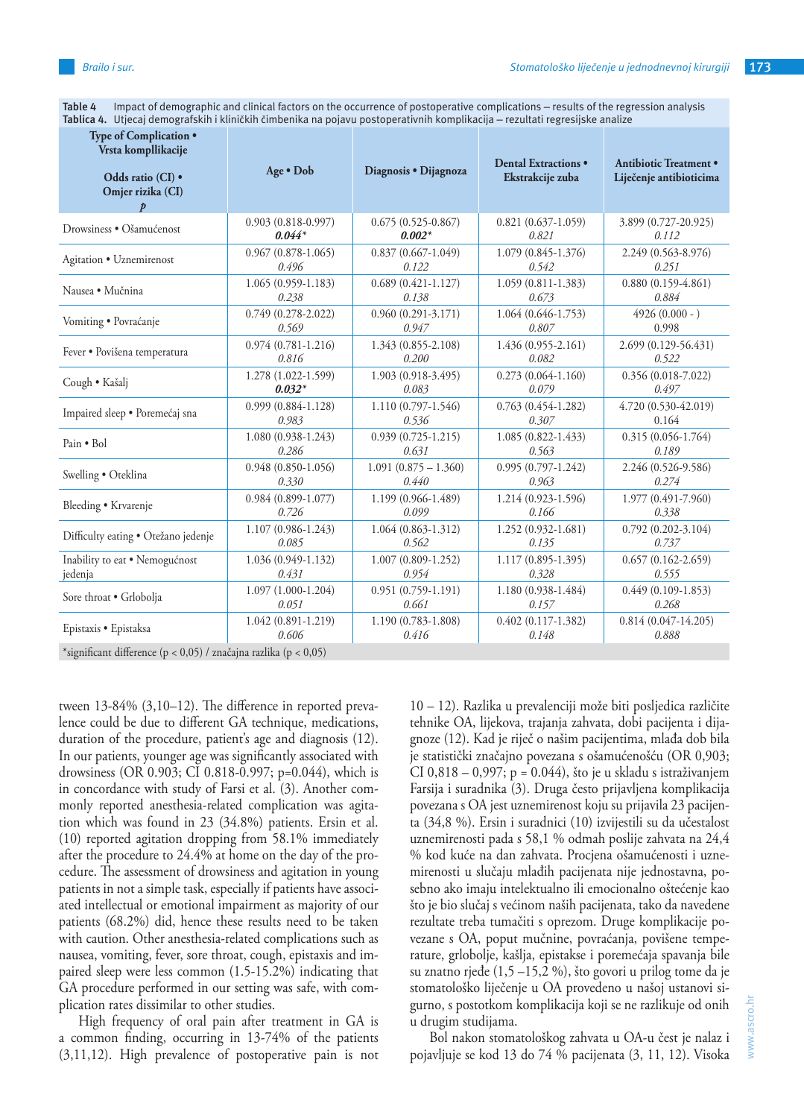**Table 4** Impact of demographic and clinical factors on the occurrence of postoperative complications – results of the regression analysis **Tablica 4.** Utjecaj demografskih i kliničkih čimbenika na pojavu postoperativnih komplikacija – rezultati regresijske analize

| Type of Complication .<br>Vrsta kompllikacije<br>Odds ratio (CI) .<br>Omjer rizika (CI) | Age • Dob              | Diagnosis · Dijagnoza  | Dental Extractions .<br>Ekstrakcije zuba | Antibiotic Treatment .<br>Liječenje antibioticima |  |  |
|-----------------------------------------------------------------------------------------|------------------------|------------------------|------------------------------------------|---------------------------------------------------|--|--|
| Drowsiness • Ošamućenost                                                                | $0.903(0.818 - 0.997)$ | $0.675(0.525-0.867)$   | $0.821 (0.637 - 1.059)$                  | 3.899 (0.727-20.925)                              |  |  |
|                                                                                         | $0.044*$               | $0.002*$               | 0.821                                    | 0.112                                             |  |  |
| Agitation • Uznemirenost                                                                | $0.967(0.878-1.065)$   | $0.837(0.667 - 1.049)$ | 1.079 (0.845-1.376)                      | 2.249 (0.563-8.976)                               |  |  |
|                                                                                         | 0.496                  | 0.122                  | 0.542                                    | 0.251                                             |  |  |
| Nausea • Mučnina                                                                        | $1.065(0.959-1.183)$   | $0.689(0.421 - 1.127)$ | $1.059(0.811 - 1.383)$                   | $0.880(0.159-4.861)$                              |  |  |
|                                                                                         | 0.238                  | 0.138                  | 0.673                                    | 0.884                                             |  |  |
| Vomiting · Povraćanje                                                                   | $0.749(0.278 - 2.022)$ | $0.960(0.291 - 3.171)$ | 1.064 (0.646-1.753)                      | $4926(0.000 - )$                                  |  |  |
|                                                                                         | 0.569                  | 0.947                  | 0.807                                    | 0.998                                             |  |  |
| Fever · Povišena temperatura                                                            | $0.974(0.781 - 1.216)$ | 1.343 (0.855-2.108)    | 1.436 (0.955-2.161)                      | 2.699 (0.129-56.431)                              |  |  |
|                                                                                         | 0.816                  | 0.200                  | 0.082                                    | 0.522                                             |  |  |
| Cough • Kašalj                                                                          | 1.278 (1.022-1.599)    | 1.903 (0.918-3.495)    | $0.273(0.064-1.160)$                     | $0.356(0.018-7.022)$                              |  |  |
|                                                                                         | $0.032*$               | 0.083                  | 0.079                                    | 0.497                                             |  |  |
| Impaired sleep · Poremećaj sna                                                          | $0.999(0.884 - 1.128)$ | 1.110 (0.797-1.546)    | $0.763(0.454 - 1.282)$                   | 4.720 (0.530-42.019)                              |  |  |
|                                                                                         | 0.983                  | 0.536                  | 0.307                                    | 0.164                                             |  |  |
| Pain • Bol                                                                              | 1.080 (0.938-1.243)    | $0.939(0.725 - 1.215)$ | 1.085 (0.822-1.433)                      | $0.315(0.056 - 1.764)$                            |  |  |
|                                                                                         | 0.286                  | 0.631                  | 0.563                                    | 0.189                                             |  |  |
| Swelling • Oteklina                                                                     | $0.948(0.850-1.056)$   | $1.091(0.875 - 1.360)$ | $0.995(0.797 - 1.242)$                   | 2.246 (0.526-9.586)                               |  |  |
|                                                                                         | 0.330                  | 0.440                  | 0.963                                    | 0.274                                             |  |  |
| Bleeding • Krvarenje                                                                    | $0.984(0.899 - 1.077)$ | 1.199 (0.966-1.489)    | 1.214 (0.923-1.596)                      | 1.977 (0.491-7.960)                               |  |  |
|                                                                                         | 0.726                  | 0.099                  | 0.166                                    | 0.338                                             |  |  |
| Difficulty eating · Otežano jedenje                                                     | 1.107 (0.986-1.243)    | 1.064 (0.863-1.312)    | 1.252 (0.932-1.681)                      | $0.792(0.202 - 3.104)$                            |  |  |
|                                                                                         | 0.085                  | 0.562                  | 0.135                                    | 0.737                                             |  |  |
| Inability to eat . Nemogućnost                                                          | 1.036 (0.949-1.132)    | $1.007(0.809 - 1.252)$ | 1.117 (0.895-1.395)                      | $0.657(0.162 - 2.659)$                            |  |  |
| jedenja                                                                                 | 0.431                  | 0.954                  | 0.328                                    | 0.555                                             |  |  |
| Sore throat . Grlobolja                                                                 | 1.097 (1.000-1.204)    | $0.951(0.759-1.191)$   | 1.180 (0.938-1.484)                      | $0.449(0.109-1.853)$                              |  |  |
|                                                                                         | 0.051                  | 0.661                  | 0.157                                    | 0.268                                             |  |  |
| Epistaxis · Epistaksa                                                                   | $1.042(0.891 - 1.219)$ | 1.190 (0.783-1.808)    | $0.402(0.117-1.382)$                     | $0.814(0.047-14.205)$                             |  |  |
|                                                                                         | 0.606                  | 0.416                  | 0.148                                    | 0.888                                             |  |  |
| *significant difference (p < 0,05) / značajna razlika (p < 0,05)                        |                        |                        |                                          |                                                   |  |  |

tween 13-84% (3,10–12). The difference in reported prevalence could be due to different GA technique, medications, duration of the procedure, patient's age and diagnosis (12). In our patients, younger age was significantly associated with drowsiness (OR 0.903; CI 0.818-0.997; p=0.044), which is in concordance with study of Farsi et al. (3). Another commonly reported anesthesia-related complication was agitation which was found in 23 (34.8%) patients. Ersin et al. (10) reported agitation dropping from 58.1% immediately after the procedure to 24.4% at home on the day of the procedure. The assessment of drowsiness and agitation in young patients in not a simple task, especially if patients have associated intellectual or emotional impairment as majority of our patients (68.2%) did, hence these results need to be taken with caution. Other anesthesia-related complications such as nausea, vomiting, fever, sore throat, cough, epistaxis and impaired sleep were less common (1.5-15.2%) indicating that GA procedure performed in our setting was safe, with complication rates dissimilar to other studies.

High frequency of oral pain after treatment in GA is a common finding, occurring in 13-74% of the patients (3,11,12). High prevalence of postoperative pain is not 10 – 12). Razlika u prevalenciji može biti posljedica različite tehnike OA, lijekova, trajanja zahvata, dobi pacijenta i dijagnoze (12). Kad je riječ o našim pacijentima, mlađa dob bila je statistički značajno povezana s ošamućenošću (OR 0,903; CI 0,818 – 0,997;  $p = 0.044$ ), što je u skladu s istraživanjem Farsija i suradnika (3). Druga često prijavljena komplikacija povezana s OA jest uznemirenost koju su prijavila 23 pacijenta (34,8 %). Ersin i suradnici (10) izvijestili su da učestalost uznemirenosti pada s 58,1 % odmah poslije zahvata na 24,4 % kod kuće na dan zahvata. Procjena ošamućenosti i uznemirenosti u slučaju mlađih pacijenata nije jednostavna, posebno ako imaju intelektualno ili emocionalno oštećenje kao što je bio slučaj s većinom naših pacijenata, tako da navedene rezultate treba tumačiti s oprezom. Druge komplikacije povezane s OA, poput mučnine, povraćanja, povišene temperature, grlobolje, kašlja, epistakse i poremećaja spavanja bile su znatno rjeđe  $(1,5 - 15,2 \%)$ , što govori u prilog tome da je stomatološko liječenje u OA provedeno u našoj ustanovi sigurno, s postotkom komplikacija koji se ne razlikuje od onih u drugim studijama.

Bol nakon stomatološkog zahvata u OA-u čest je nalaz i pojavljuje se kod 13 do 74 % pacijenata (3, 11, 12). Visoka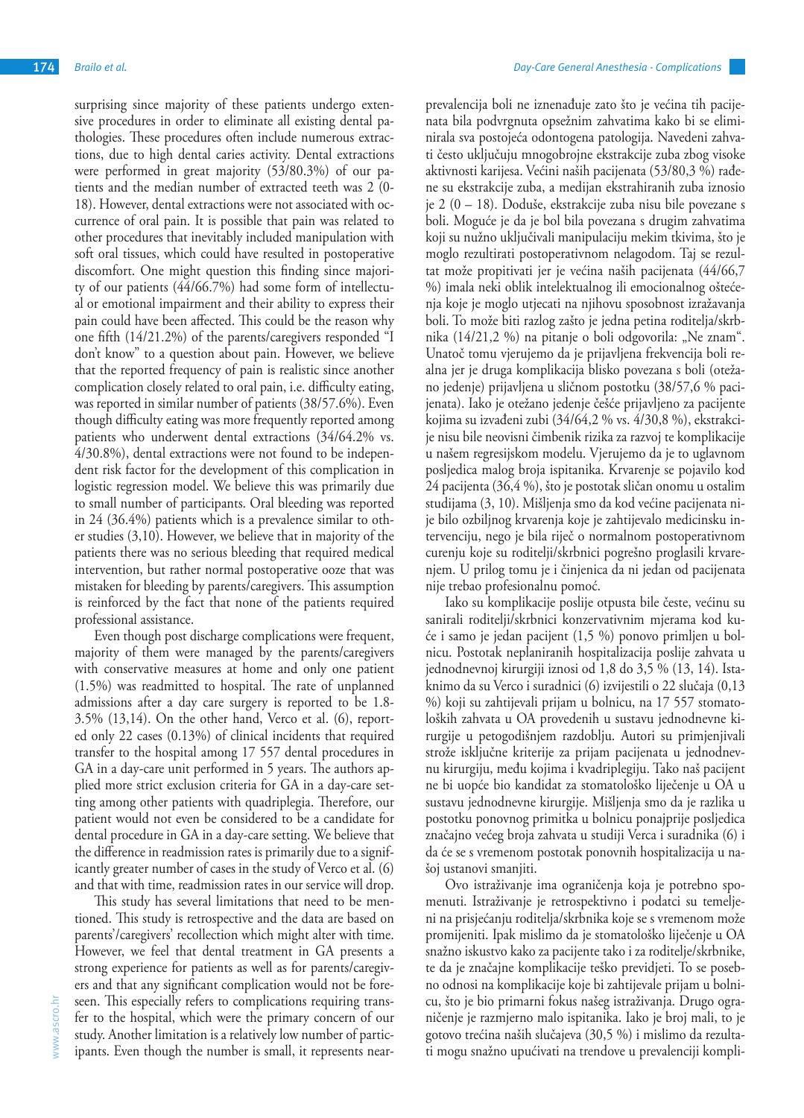surprising since majority of these patients undergo extensive procedures in order to eliminate all existing dental pathologies. These procedures often include numerous extractions, due to high dental caries activity. Dental extractions were performed in great majority (53/80.3%) of our patients and the median number of extracted teeth was 2 (0- 18). However, dental extractions were not associated with occurrence of oral pain. It is possible that pain was related to other procedures that inevitably included manipulation with soft oral tissues, which could have resulted in postoperative discomfort. One might question this finding since majority of our patients (44/66.7%) had some form of intellectual or emotional impairment and their ability to express their pain could have been affected. This could be the reason why one fifth (14/21.2%) of the parents/caregivers responded "I don't know" to a question about pain. However, we believe that the reported frequency of pain is realistic since another complication closely related to oral pain, i.e. difficulty eating, was reported in similar number of patients (38/57.6%). Even though difficulty eating was more frequently reported among patients who underwent dental extractions (34/64.2% vs. 4/30.8%), dental extractions were not found to be independent risk factor for the development of this complication in logistic regression model. We believe this was primarily due to small number of participants. Oral bleeding was reported in 24 (36.4%) patients which is a prevalence similar to other studies (3,10). However, we believe that in majority of the patients there was no serious bleeding that required medical intervention, but rather normal postoperative ooze that was mistaken for bleeding by parents/caregivers. This assumption is reinforced by the fact that none of the patients required professional assistance.

Even though post discharge complications were frequent, majority of them were managed by the parents/caregivers with conservative measures at home and only one patient (1.5%) was readmitted to hospital. The rate of unplanned admissions after a day care surgery is reported to be 1.8- 3.5% (13,14). On the other hand, Verco et al. (6), reported only 22 cases (0.13%) of clinical incidents that required transfer to the hospital among 17 557 dental procedures in GA in a day-care unit performed in 5 years. The authors applied more strict exclusion criteria for GA in a day-care setting among other patients with quadriplegia. Therefore, our patient would not even be considered to be a candidate for dental procedure in GA in a day-care setting. We believe that the difference in readmission rates is primarily due to a significantly greater number of cases in the study of Verco et al. (6) and that with time, readmission rates in our service will drop.

This study has several limitations that need to be mentioned. This study is retrospective and the data are based on parents'/caregivers' recollection which might alter with time. However, we feel that dental treatment in GA presents a strong experience for patients as well as for parents/caregivers and that any significant complication would not be foreseen. This especially refers to complications requiring transfer to the hospital, which were the primary concern of our study. Another limitation is a relatively low number of participants. Even though the number is small, it represents nearprevalencija boli ne iznenađuje zato što je većina tih pacijenata bila podvrgnuta opsežnim zahvatima kako bi se eliminirala sva postojeća odontogena patologija. Navedeni zahvati često uključuju mnogobrojne ekstrakcije zuba zbog visoke aktivnosti karijesa. Većini naših pacijenata (53/80,3 %) rađene su ekstrakcije zuba, a medijan ekstrahiranih zuba iznosio je 2 (0 – 18). Doduše, ekstrakcije zuba nisu bile povezane s boli. Moguće je da je bol bila povezana s drugim zahvatima koji su nužno uključivali manipulaciju mekim tkivima, što je moglo rezultirati postoperativnom nelagodom. Taj se rezultat može propitivati jer je većina naših pacijenata (44/66,7 %) imala neki oblik intelektualnog ili emocionalnog oštećenja koje je moglo utjecati na njihovu sposobnost izražavanja boli. To može biti razlog zašto je jedna petina roditelja/skrbnika (14/21,2 %) na pitanje o boli odgovorila: "Ne znam". Unatoč tomu vjerujemo da je prijavljena frekvencija boli realna jer je druga komplikacija blisko povezana s boli (otežano jedenje) prijavljena u sličnom postotku (38/57,6 % pacijenata). Iako je otežano jedenje češće prijavljeno za pacijente kojima su izvađeni zubi (34/64,2 % vs. 4/30,8 %), ekstrakcije nisu bile neovisni čimbenik rizika za razvoj te komplikacije u našem regresijskom modelu. Vjerujemo da je to uglavnom posljedica malog broja ispitanika. Krvarenje se pojavilo kod 24 pacijenta (36,4 %), što je postotak sličan onomu u ostalim studijama (3, 10). Mišljenja smo da kod većine pacijenata nije bilo ozbiljnog krvarenja koje je zahtijevalo medicinsku intervenciju, nego je bila riječ o normalnom postoperativnom curenju koje su roditelji/skrbnici pogrešno proglasili krvarenjem. U prilog tomu je i činjenica da ni jedan od pacijenata nije trebao profesionalnu pomoć.

Iako su komplikacije poslije otpusta bile česte, većinu su sanirali roditelji/skrbnici konzervativnim mjerama kod kuće i samo je jedan pacijent (1,5 %) ponovo primljen u bolnicu. Postotak neplaniranih hospitalizacija poslije zahvata u jednodnevnoj kirurgiji iznosi od 1,8 do 3,5 % (13, 14). Istaknimo da su Verco i suradnici (6) izvijestili o 22 slučaja (0,13 %) koji su zahtijevali prijam u bolnicu, na 17 557 stomatoloških zahvata u OA provedenih u sustavu jednodnevne kirurgije u petogodišnjem razdoblju. Autori su primjenjivali strože isključne kriterije za prijam pacijenata u jednodnevnu kirurgiju, među kojima i kvadriplegiju. Tako naš pacijent ne bi uopće bio kandidat za stomatološko liječenje u OA u sustavu jednodnevne kirurgije. Mišljenja smo da je razlika u postotku ponovnog primitka u bolnicu ponajprije posljedica značajno većeg broja zahvata u studiji Verca i suradnika (6) i da će se s vremenom postotak ponovnih hospitalizacija u našoj ustanovi smanjiti.

Ovo istraživanje ima ograničenja koja je potrebno spomenuti. Istraživanje je retrospektivno i podatci su temeljeni na prisjećanju roditelja/skrbnika koje se s vremenom može promijeniti. Ipak mislimo da je stomatološko liječenje u OA snažno iskustvo kako za pacijente tako i za roditelje/skrbnike, te da je značajne komplikacije teško previdjeti. To se posebno odnosi na komplikacije koje bi zahtijevale prijam u bolnicu, što je bio primarni fokus našeg istraživanja. Drugo ograničenje je razmjerno malo ispitanika. Iako je broj mali, to je gotovo trećina naših slučajeva (30,5 %) i mislimo da rezultati mogu snažno upućivati na trendove u prevalenciji kompli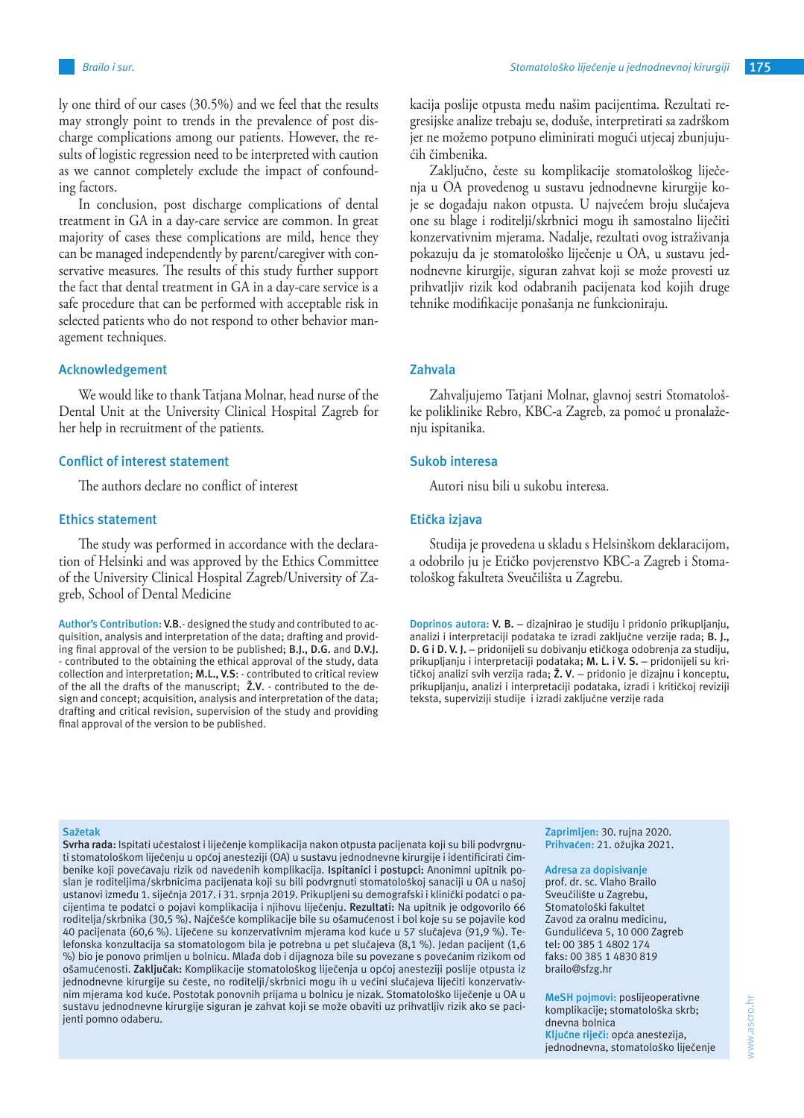ly one third of our cases (30.5%) and we feel that the results may strongly point to trends in the prevalence of post discharge complications among our patients. However, the results of logistic regression need to be interpreted with caution as we cannot completely exclude the impact of confounding factors.

In conclusion, post discharge complications of dental treatment in GA in a day-care service are common. In great majority of cases these complications are mild, hence they can be managed independently by parent/caregiver with conservative measures. The results of this study further support the fact that dental treatment in GA in a day-care service is a safe procedure that can be performed with acceptable risk in selected patients who do not respond to other behavior management techniques.

### **Acknowledgement**

We would like to thank Tatjana Molnar, head nurse of the Dental Unit at the University Clinical Hospital Zagreb for her help in recruitment of the patients.

## **Conflict of interest statement**

The authors declare no conflict of interest

### **Ethics statement**

The study was performed in accordance with the declaration of Helsinki and was approved by the Ethics Committee of the University Clinical Hospital Zagreb/University of Zagreb, School of Dental Medicine

**Author's Contribution: V.B**.- designed the study and contributed to acquisition, analysis and interpretation of the data; drafting and providing final approval of the version to be published; **B.J., D.G.** and **D.V.J.** - contributed to the obtaining the ethical approval of the study, data collection and interpretation; **M.L., V.S**: - contributed to critical review of the all the drafts of the manuscript; **Ž.V**. - contributed to the design and concept; acquisition, analysis and interpretation of the data; drafting and critical revision, supervision of the study and providing final approval of the version to be published.

kacija poslije otpusta među našim pacijentima. Rezultati regresijske analize trebaju se, doduše, interpretirati sa zadrškom jer ne možemo potpuno eliminirati mogući utjecaj zbunjujućih čimbenika.

Zaključno, česte su komplikacije stomatološkog liječenja u OA provedenog u sustavu jednodnevne kirurgije koje se događaju nakon otpusta. U najvećem broju slučajeva one su blage i roditelji/skrbnici mogu ih samostalno liječiti konzervativnim mjerama. Nadalje, rezultati ovog istraživanja pokazuju da je stomatološko liječenje u OA, u sustavu jednodnevne kirurgije, siguran zahvat koji se može provesti uz prihvatljiv rizik kod odabranih pacijenata kod kojih druge tehnike modifikacije ponašanja ne funkcioniraju.

## **Zahvala**

Zahvaljujemo Tatjani Molnar, glavnoj sestri Stomatološke poliklinike Rebro, KBC-a Zagreb, za pomoć u pronalaženiu ispitanika.

#### **Sukob interesa**

Autori nisu bili u sukobu interesa.

#### **Etička izjava**

Studija je provedena u skladu s Helsinškom deklaracijom, a odobrilo ju je Etičko povjerenstvo KBC-a Zagreb i Stomatološkog fakulteta Sveučilišta u Zagrebu.

**Doprinos autora: V. B.** – dizajnirao je studiju i pridonio prikupljanju, analizi i interpretaciji podataka te izradi zaključne verzije rada; **B. J., D. G i D. V. J.** – pridonijeli su dobivanju etičkoga odobrenja za studiju, prikupljanju i interpretaciji podataka; **M. L. i V. S.** – pridonijeli su kritičkoj analizi svih verzija rada; **Ž. V**. – pridonio je dizajnu i konceptu, prikupljanju, analizi i interpretaciji podataka, izradi i kritičkoj reviziji teksta, superviziji studije i izradi zaključne verzije rada

#### **Sažetak**

**Svrha rada:** Ispitati učestalost i liječenje komplikacija nakon otpusta pacijenata koji su bili podvrgnuti stomatološkom liječenju u općoj anesteziji (OA) u sustavu jednodnevne kirurgije i identificirati čimbenike koji povećavaju rizik od navedenih komplikacija. **Ispitanici i postupci:** Anonimni upitnik poslan je roditeljima/skrbnicima pacijenata koji su bili podvrgnuti stomatološkoj sanaciji u OA u našoj ustanovi između 1. siječnja 2017. i 31. srpnja 2019. Prikupljeni su demografski i klinički podatci o pacijentima te podatci o pojavi komplikacija i njihovu liječenju. **Rezultati:** Na upitnik je odgovorilo 66 roditelja/skrbnika (30,5 %). Najčešće komplikacije bile su ošamućenost i bol koje su se pojavile kod 40 pacijenata (60,6 %). Liječene su konzervativnim mjerama kod kuće u 57 slučajeva (91,9 %). Telefonska konzultacija sa stomatologom bila je potrebna u pet slučajeva (8,1 %). Jedan pacijent (1,6 %) bio je ponovo primljen u bolnicu. Mlađa dob i dijagnoza bile su povezane s povećanim rizikom od ošamućenosti. **Zaključak:** Komplikacije stomatološkog liječenja u općoj anesteziji poslije otpusta iz jednodnevne kirurgije su česte, no roditelji/skrbnici mogu ih u većini slučajeva liječiti konzervativnim mjerama kod kuće. Postotak ponovnih prijama u bolnicu je nizak. Stomatološko liječenje u OA u sustavu jednodnevne kirurgije siguran je zahvat koji se može obaviti uz prihvatljiv rizik ako se pacijenti pomno odaberu.

**Zaprimljen:** 30. rujna 2020. **Prihvaćen:** 21. ožujka 2021.

#### **Adresa za dopisivanje**

prof. dr. sc. Vlaho Brailo Sveučilište u Zagrebu, Stomatološki fakultet Zavod za oralnu medicinu, Gundulićeva 5, 10 000 Zagreb tel: 00 385 1 4802 174 faks: 00 385 1 4830 819 brailo@sfzg.hr

**MeSH pojmovi:** poslijeoperativne komplikacije; stomatološka skrb; dnevna bolnica **Ključne riječi:** opća anestezija, jednodnevna, stomatološko liječenje